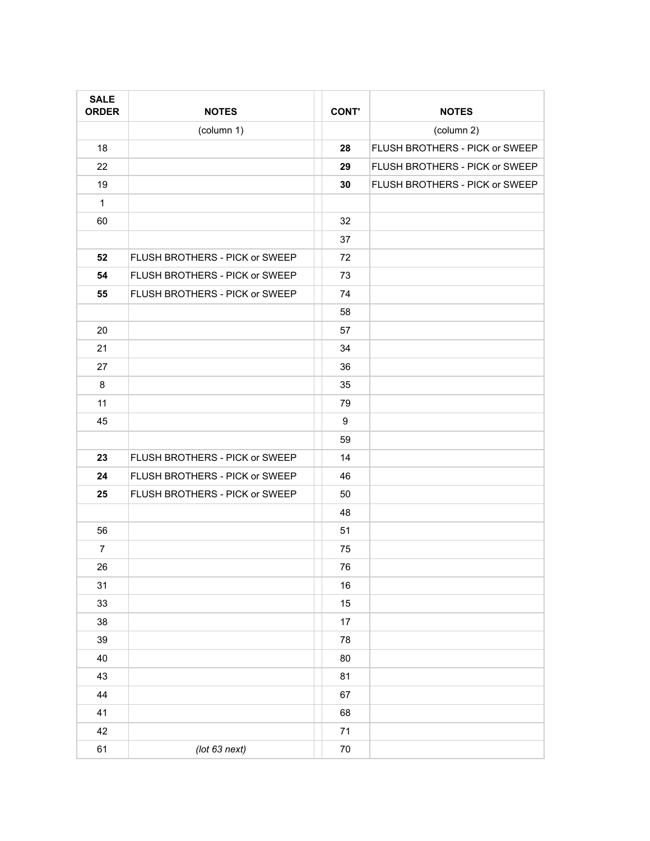| <b>SALE</b><br><b>ORDER</b> | <b>NOTES</b>                   | <b>CONT'</b> | <b>NOTES</b>                   |
|-----------------------------|--------------------------------|--------------|--------------------------------|
|                             | (column 1)                     |              | (column 2)                     |
| 18                          |                                | 28           | FLUSH BROTHERS - PICK or SWEEP |
| 22                          |                                | 29           | FLUSH BROTHERS - PICK or SWEEP |
| 19                          |                                | 30           | FLUSH BROTHERS - PICK or SWEEP |
| $\mathbf{1}$                |                                |              |                                |
| 60                          |                                | 32           |                                |
|                             |                                | 37           |                                |
| 52                          | FLUSH BROTHERS - PICK or SWEEP | 72           |                                |
| 54                          | FLUSH BROTHERS - PICK or SWEEP | 73           |                                |
| 55                          | FLUSH BROTHERS - PICK or SWEEP | 74           |                                |
|                             |                                | 58           |                                |
| 20                          |                                | 57           |                                |
| 21                          |                                | 34           |                                |
| 27                          |                                | 36           |                                |
| 8                           |                                | 35           |                                |
| 11                          |                                | 79           |                                |
| 45                          |                                | 9            |                                |
|                             |                                | 59           |                                |
| 23                          | FLUSH BROTHERS - PICK or SWEEP | 14           |                                |
| 24                          | FLUSH BROTHERS - PICK or SWEEP | 46           |                                |
| 25                          | FLUSH BROTHERS - PICK or SWEEP | 50           |                                |
|                             |                                | 48           |                                |
| 56                          |                                | 51           |                                |
| $\overline{7}$              |                                | 75           |                                |
| 26                          |                                | 76           |                                |
| 31                          |                                | $16\,$       |                                |
| $33\,$                      |                                | 15           |                                |
| 38                          |                                | 17           |                                |
| 39                          |                                | 78           |                                |
| 40                          |                                | 80           |                                |
| 43                          |                                | 81           |                                |
| 44                          |                                | 67           |                                |
| 41                          |                                | 68           |                                |
| 42                          |                                | 71           |                                |
| 61                          | $($ lot 63 next $)$            | $70\,$       |                                |